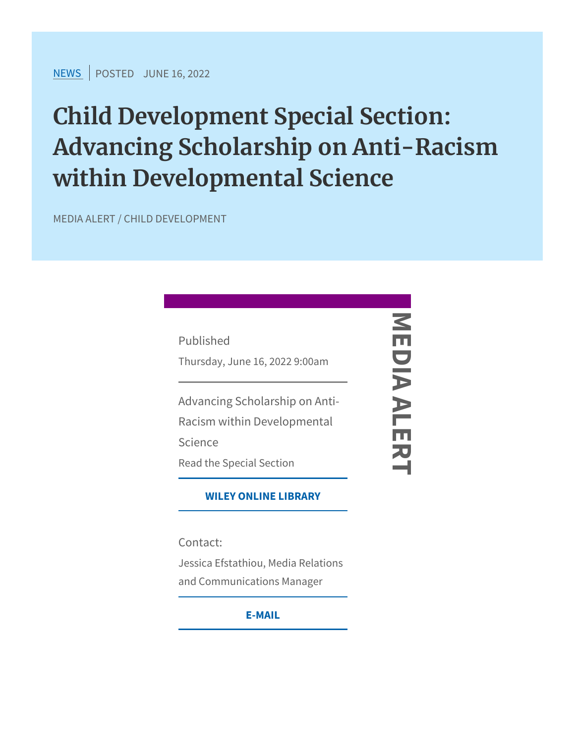$NEW$ SPOSTEJDUNE 16, 2022

Child Development Special Secti Advancing Scholarship on Anti-R within Developmental Science

MEDIA ALERT / CHILD DEVELOPMENT

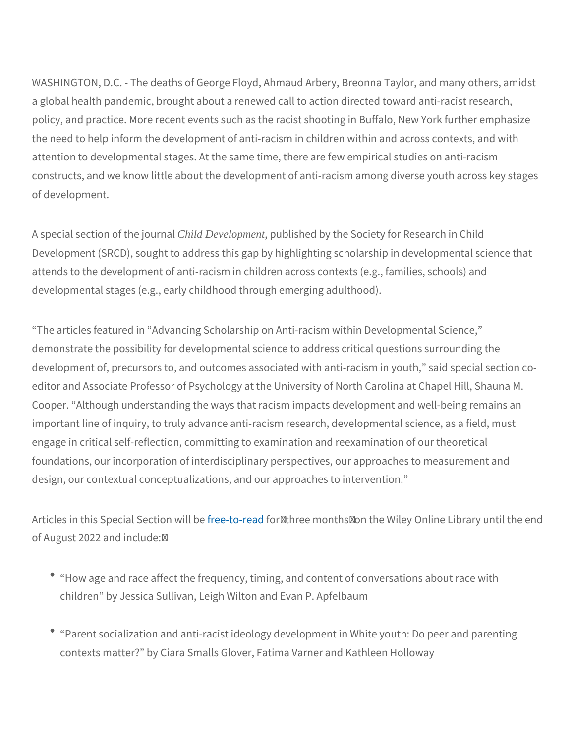WASHINGTON, D.C. - The deaths of George Floyd, Ahmaud Arbery, a global health pandemic, brought about a renewed call to action d policy, and practice. More recent events such as the racist shootin the need to help inform the development of anti-racism in children attention to developmental stages. At the same time, there are few constructs, and we know little about the development of anti-racism of development.

A special section Offild Developmentapublished by the Society for Researc Development (SRCD), sought to address this gap by highlighting sc attends to the development of anti-racism in children across contex developmental stages (e.g., early childhood through emerging adulthood).

The articles featured in Advancing Scholarship on Anti-racism with demonstrate the possibility for developmental science to address c development of, precursors to, and outcomes associated with anti-r editor and Associate Professor of Psychology at the University of N Cooper. Although understanding the ways that racism impacts deve important line of inquiry, to truly advance anti-racism research, de engage in critical self-reflection, committing to examination and re foundations, our incorporation of interdisciplinary perspectives, ou design, our contextual conceptualizations, and our approaches to in

Articles in this Speciaflr**eSee-otbi-ofree-wid hiree** months/on the Wiley Online of August 2022 and include: /

- How age and race affect the frequency, timing, and content of children by Jessica Sullivan, Leigh Wilton and Evan P. Apfelba
- Parent socialization and anti-racist ideology development in W contexts matter? by Ciara Smalls Glover, Fatima Varner and Ka